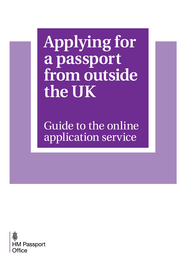# **Applying for a passport from outside the UK**

[Guide to the online](https://deedpolloffice.com/change-name/who-to-tell/passport/applying-outside-uk-online) application service

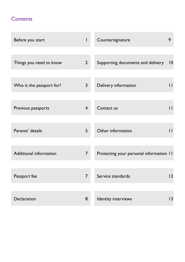### **Contents**

| Before you start              | $\mathsf I$    | Countersignature                        | 9            |
|-------------------------------|----------------|-----------------------------------------|--------------|
|                               |                |                                         |              |
| Things you need to know       | $\overline{2}$ | Supporting documents and delivery       | 10           |
|                               |                |                                         |              |
| Who is the passport for?      | 3              | Delivery information                    | $\mathsf{H}$ |
|                               |                |                                         |              |
| Previous passports            | $\overline{4}$ | Contact us                              | $\mathsf{H}$ |
|                               |                |                                         |              |
| Parents' details              | 5              | Other information                       | $\mathsf{H}$ |
|                               |                |                                         |              |
| <b>Additional information</b> | $\overline{7}$ | Protecting your personal information 11 |              |
|                               |                |                                         |              |
| Passport fee                  | $\overline{7}$ | Service standards                       | 12           |
|                               |                |                                         |              |
| Declaration                   | 8              | Identity interviews                     | 13           |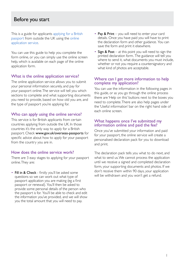### Before you start

This is a guide for applicants [applying for a British](https://deedpolloffice.com/change-name/who-to-tell/passport) [passport](https://deedpolloffice.com/change-name/who-to-tell/passport) from outside the UK using the [online](https://www.gov.uk/overseas-passports)  [application service.](https://www.gov.uk/overseas-passports)

You can use this guide to help you complete the form online, or you can simply use the online screen help, which is available on each page of the online application form.

### What is the online application service?

The online application service allows you to submit your personal information securely, and pay for your passport online. The service will tell you which sections to complete and what supporting documents you need to provide, based on how old you are, and the type of passport you're applying for.

### Who can apply using the online service?

This service is for British applicants from certain countries applying from outside the UK. In those countries it's the only way to apply for a British passport. Check [www.gov.uk/overseas-passports](https://www.gov.uk/overseas-passports) for specific advice about how to apply for your passport from the country you are in.

### How does the online service work?

There are 3 easy stages to applying for your passport online. They are:

• Fill in & Check - firstly you'll be asked some questions so we can work out what type of passport application you are making (eg a first passport or renewal). You'll then be asked to provide some personal details of the person who the passport is for. You'll be able to check and edit the information you've provided, and we will show you the total amount that you will need to pay.

- Pay  $&$  Print you will need to enter your card details. Once you have paid you will have to print the declaration form and other guidance. You can save the form and print it elsewhere.
- Sign & Post  $-$  at this point you will need to sign the printed declaration form. The guidance will tell you where to send it, what documents you must include, whether or not you require a countersignatory and what kind of photos are acceptable.

### Where can I get more information to help complete my application?

You can use the information in the following pages in this guide, or as you go through the online process there are 'Help on this' buttons next to the boxes you need to complete. There are also help pages under the 'Useful information' bar on the right hand side of each online screen.

### What happens once I've submitted my information online and paid the fee?

Once you've submitted your information and paid for your passport, the online service will create a personalised declaration pack for you to download and print.

The declaration pack tells you what to do next, and what to send us. We cannot process the application until we receive a signed and completed declaration form, your supporting documents and photos. If we don't receive them within 90 days, your application will be withdrawn and you won't get a refund.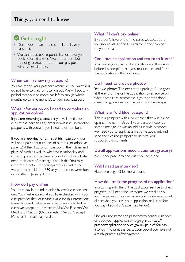# Get it right

- Don't book travel or visas until you have your passport.
- We cannot accept responsibility for travel you book before it arrives. We do our best, but cannot guarantee to return your passport within a certain time.

### When can I renew my passport?

You can renew your passport whenever you want. You do not have to wait for it to run out. We will add any period that your passport has left to run (in whole months up to nine months), to your new passport.

### What information do I need to complete an application online?

If you are renewing a passport you will need your current passport and any other non-British uncancelled passports with you, and you'll need their numbers.

### If you are applying for a first British passport you

will need passport numbers of parents (or adoptive parents) if they had British passports, their dates and place of birth as well as what their nationality and citizenship was at the time of your birth. You will also need their date of marriage if applicable. You may need these details for grandparents as well if you were born outside the UK or your parents were born on or after 1 January 1983.

### How do I pay online?

You must pay in pounds sterling by credit card or debit card. You must ensure that you have checked with your card provider that your card is valid for this international transaction and that adequate funds are available. The cards we accept are: Mastercard, Visa, Visa Electron, Visa Debit and Maestro (UK Domestic). We don't accept Maestro (International) cards.

### What if I can't pay online?

If you don't have one of the cards we accept then you should ask a friend or relative if they can pay on your behalf.

### Can I save an application and return to it later?

You can begin a passport application and then save it before it's complete, but you must return and finish the application within 72 hours.

### Do I need to provide photos?

Yes, two photos. The declaration pack you'll be given at the end of the online application gives advice on what photos are acceptable. If your photos don't meet our guidelines your passport will be delayed.

### What is an 'old blue' passport?

This is a passport with a blue cover that was issued up until the early 1990s. If your passport expired some time ago, or was an 'old blue' style passport we need you to apply as a first-time applicant, and send the expired passport to us with your supporting documents.

### Do all applications need a countersignatory?

No. Check page 9 to find out if you need one.

### Will I need an interview?

Please see page 13 for more details.

### How do I track the progress of my application?

You can log in to the online application service to check progress. You'll need the username we email to you, and the password you set, when you create an account, either when you save your application, or just before you pay (if you didn't save it earlier on).

Use your username and password to continue, review or track your application by logging in at [https://](https://passportapplication.service.gov.uk/ips-olc/) [passportapplication.service.gov.uk/ips-olc/](https://passportapplication.service.gov.uk/ips-olc/). You can also log in to print the declaration pack if you have not already printed it after payment.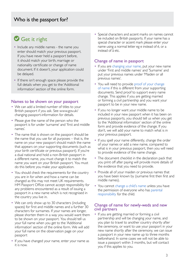# Get it right

- Include any middle names the name you enter should match your previous passport. If you have never held a passport before, it should match your birth, marriage or nationality certificate or change of name document. If it doesn't, your application could be delayed.
- If there isn't enough space please provide the full details when you get to the 'Additional information' section of the online form.

### Names to be shown on your passport

- We can add a limited number of titles to your British passport if you ask. See www.gov.uk/ changing-passport-information for details.
- Please give the name of the person who the passport is for under 'surname' and 'first and middle names'.
- The name that is shown on the passport should be the name that you use for all purposes – that is, the name on your new passport should match the name that appears on your supporting documents (such as your birth certificate or previous passport). If you're a dual national and hold a non-British passport in a different name, you must change it to match the name you want on your British passport. You must do this before you make your application.
- You should check the requirements for the country you are in for when and how a name can be changed as this may not meet UK requirements. HM Passport Office cannot accept responsibility for any problems encountered as a result of issuing a passport in a new name which is not recognised in the country you live in.
- We can only show up to 30 characters (including spaces) for first and middle names and a further 30 characters for surnames. If your names are longer, please shorten them in a way you would want them to be shown on your passport. You should tell us your full name when you get to the 'Additional information' section of the online form. We will add your full name on the observation page on your passport
- If you have changed your name, enter your name as it is now.

• Special characters and accent marks on names cannot be included on British passports. If your name has a special character or accent mark please enter your name using a normal letter eg e instead of é, or a instead of ä etc.

### Change of name in passport

- If you are [changing your name,](https://deedpolloffice.com/change-name) put your new name under 'First and middle names' and 'Surname' and put your previous names under 'Maiden or all previous names'.
- You will need to provide [proof of your change](https://deedpolloffice.com/change-name/deed-poll) [of name](https://deedpolloffice.com/change-name/deed-poll) if this is different from your supporting documents. Send proof to support every name change. This applies if you are getting married or forming a civil partnership and you want your passport to be in your new name.
- If you no longer want your middle name to be included in your new passport when it has been on previous passports, you should tell us when you get to the 'Additional information' section of the online form and provide evidence of the change. If you don't, we will add your name to match what is in your previous passport.
- If you spell your name differently, change the order of your names or add a new name, compared to what is in your previous passport, then you will need to provide evidence of the name change.
- The document checklist in the declaration pack that you print off after paying will provide more details of the evidence that you need to provide.
- Provide all of your maiden or previous names that you have been known by (surname first then first and middle names).
- You cannot [change a child's name](https://deedpolloffice.com/change-name/children) unless you have the permission of everyone who has [parental](https://deedpolloffice.com/change-name/children/parental-responsibility) [responsibility](https://deedpolloffice.com/change-name/children/parental-responsibility) for the child.

### Change of name for newly-weds and new civil partners

• If you are getting married or forming a civil partnership and will be changing your name, and you plan to travel to another country shortly after the ceremony, or want to use your passport in your new name shortly after the ceremony, we can issue a passport in your new name up to three months beforehand. In some cases we will not be able to issue a passport within 3 months, but will contact you if this applies to you.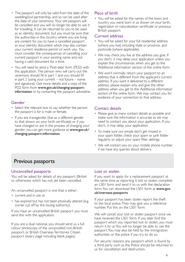- The passport will only be valid from the date of the wedding/civil partnership, and so can be used after the date of your ceremony. Your old passport will be cancelled and you will no longer be able to use it for travelling. It can be returned to you to be used as an identity document, but you must be sure that the authorities in the country where you are living are content for you to have a cancelled passport as your identity document which may also contain your current residence permit or work visa. You must consider the consequences of cancelling your current passport in your existing name and not having a valid document for a time.
- You will need to send a 'Post-date' form (PD2) with this application. The person who will carry out the ceremony should fill in part 1 and you should fill in part  $2$  (using your current – not future – name and signature). Get more details and a copy of the PD2 form from www.gov.uk/changing-passportinformation or by contacting the passport adviceline.

### Gender

- Select the relevant box to say whether the person the passport is for is male or female.
- If you are transgender (live as a different gender to that shown on your birth certificate) or if you have changed or are in the process of changing your gender, you can get more guidance at www.gov.uk/ changing-passport-information

### Place of birth

• You will be asked for the names of the town and country you were born in as shown on your birth, registration or naturalisation certificate or previous British passport.

### Current address

- You will be asked for your full residential address (where you live) including state or province, and postcode (where applicable).
- We may check you live at the address you give. If you don't, it may delay your application unless you explain the circumstances when you get to the 'Additional information' section of the online form.
- We won't normally return your passport to an address that is different from the applicant's current address. If you want it delivered to a different address, please explain why and give the other address when you get to the 'Additional information' section of the online form. We may contact you for evidence of your connection to that address.

### Contact details

- Please give as many contact details as possible and make sure the information is accurate as we may need to contact you about your application. If you don't, it may delay your application.
- To make sure our emails don't get missed in your spam folder, check your spam or junk folder regularly, or adjust your spam filter settings.
- We will contact you on your mobile phone number if we have any queries about delivery.

### Previous passports

### Uncancelled passports

You will be asked for details of any passport (British or otherwise) which has not yet been cancelled.

An uncancelled passport is one that is either:

- current and in use or
- has expired but has not been physically altered (e.g. corner cut off by the issuing authority).

If you have an uncancelled British passport you must send this with the application.

If you are a dual national, you should send us a full colour photocopy of the uncancelled non-British passport, or British Overseas Territories Citizen passport (every page including blank pages).

### Lost or stolen

If you want to apply for a replacement passport at the same time as reporting it lost or stolen, complete an LS01 form and send it to us with the declaration form. You can download the LS01 form at [www.gov.](http://www.gov.uk/overseas-passports) [uk/overseas-passports](http://www.gov.uk/overseas-passports)

If your passport has been stolen report the theft to the local police. They may give you a reference number. Put this on the LS01 form.

We will cancel your lost or stolen passport once we have received the LS01 form. If you later find the passport which you reported lost or stolen, you must return it to us. You will no longer be able to use the passport. You may also be held by the immigration authorities or the police if you try to do so.

For security reasons, any passport which is found by a third party such as the Police should be returned to us for cancellation and destruction.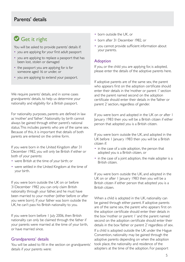### Parents' details

# Get it right

You will be asked to provide parents' details if:

- you are applying for your first adult passport
- you are applying to replace a passport that has been lost, stolen or damaged
- the passport you are applying for is for someone aged 16 or under, or
- you are applying to extend your passport.

We require parents' details, and in some cases grandparents' details, to help us determine your nationality and eligibility for a British passport.

For nationality purposes, parents are defined in law as 'mother' and 'father'. Nationality by birth cannot always be gained through either parent's national status. This includes parents who are of the same sex. Because of this, it is important that details of both parents are entered on the online form.

If you were born in the United Kingdom after 31 December 1982, you will only be British if either or both of your parents:

- were British at the time of your birth; or
- were settled in the United Kingdom at the time of your birth.

If you were born outside the UK on or before 31December 1982 you can only claim British nationality through your father, and he must have been married to your mother (either before or after you were born). If your father was born outside the UK, he can't pass his British nationality to you.

If you were born before 1 July 2006, then British nationality can only be claimed through the father if your parents were married at the time of your birth, or have married since.

#### Grandparents' details

You will be asked to fill in the section on grandparents' details if your parents were:

- born outside the UK, or
- born after 31 December 1982, or
- you cannot provide sufficient information about your parents.

#### Adoption

If you, or the child you are applying for, is adopted, please enter the details of the adoptive parents here.

If adoptive parents are of the same sex, the parent who appears first on the adoption certificate should enter their details in the 'mother or parent 1' section and the parent named second on the adoption certificate should enter their details in the 'father or parent 2' section, regardless of gender.

If you were born and adopted in the UK on or after I January 1983 then you will be a British citizen if either person that adopted you is a British citizen.

If you were born outside the UK, and adopted in the UK before 1 January 1983 then you will be a British citizen if:

- in the case of a sole adoption, the person that adopted you is a British citizen, or
- in the case of a joint adoption, the male adopter is a British citizen.

If you were born outside the UK, and adopted in the UK on or after 1 January 1983 then you will be a British citizen if either person that adopted you is a British citizen.

When a child is adopted in the UK, nationality can be gained through either parent. If adoptive parents are of the same sex, the parent who appears first on the adoption certificate should enter their details in the box 'mother or parent 1' and the parent named second on the adoption certificate should enter their details in the box 'father or parent 2' regardless of sex. If a child is adopted outside the UK under the Hague Convention, nationality may be gained through the adoptive parents depending on when the adoption took place, the nationality and residence of the adopters at the time of the adoption. For passport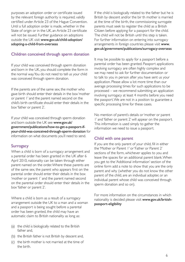purposes an adoption order or certificate issued by the relevant foreign authority is required, validly certified under Article 23 of the Hague Convention. Until a full adoption order is made, whether in the State of origin or in the UK, an Article 23 certificate will not be issued. Further guidance on adoptions outside the UK visit [www.gov.uk/child-adoption/](http://www.gov.uk/child-adoption/adopting-a-child-from-overseas) [adopting-a-child-from-overseas](http://www.gov.uk/child-adoption/adopting-a-child-from-overseas)

### Children conceived through sperm donation

If your child was conceived through sperm donation and born in the UK, you should complete the form in the normal way. You do not need to tell us your child was conceived through sperm donation.

If the parents are of the same sex, the mother who gave birth should enter their details in the box 'mother or parent 1' and the parent named second on the child's birth certificate should enter their details in the box 'father or parent 2'.

If your child was conceived through sperm donation and born outside the UK see [www.gov.uk/](https://www.gov.uk/government/publications/how-to-get-a-passport-if-your-child-was-conceived-through-sperm-donation) [government/publications/how-to-get-a-passport-if](https://www.gov.uk/government/publications/how-to-get-a-passport-if-your-child-was-conceived-through-sperm-donation)[your-child-was-conceived-through-sperm-donation](https://www.gov.uk/government/publications/how-to-get-a-passport-if-your-child-was-conceived-through-sperm-donation) for information on what documents you'll need to send.

### **Surrogacy**

When a child is born of a surrogacy arrangement and a parental order has been granted in the UK after 6 April 2010, nationality can be taken through either parent named on the order. Where these parents are of the same sex, the parent who appears first on the parental order should enter their details in the box 'mother or parent 1' and the parent named second on the parental order should enter their details in the box 'father or parent 2'.

Where a child is born as a result of a surrogacy arrangement outside the UK to a man and a woman and a passport is being sought before a parental order has been granted, the child may have an automatic claim to British nationality as long as:

- (a) the child is biologically related to the British father and,
- (b) the British father is not British by descent and,
- (c) the birth mother is not married at the time of the birth.

If the child is biologically related to the father but he is British by descent and/or the bir th mother is married at the time of the birth, the commissioning surrogate parents must seek to register the child as a British Citizen before applying for a passport for the child. The child will not be British until this step is taken. For further information on entering into surrogacy arrangements in foreign countries please visit [www.](http://www.gov.uk/government/publications/surrogacy-overseas) [gov.uk/government/publications/surrogacy-overseas](http://www.gov.uk/government/publications/surrogacy-overseas)

It may be possible to apply for a passport before a parental order has been granted. Passport applications involving surrogacy are often highly complex and we may need to ask for further documentation or to talk to you in person after you have sent us your application. Please allow a lot more time than our average processing times for such applications to be processed – we recommend submitting an application involving surrogacy at least 4 months before you need the passport. We are not in a position to guarantee a specific processing time for these cases.

No mention of parent's details or 'mother or parent 1' and 'father or parent 2' will appear on the passport. This information is used simply to gather the information we need to issue a passport.

### Child with one parent

If you are the only parent of your child, fill in either the 'Mother or Parent 1' or 'Father or Parent 2' sections of the form, whichever applies to you and leave the spaces for an additional parent blank. When you get to the 'Additional information' section of the online form add a note to show that you are the only parent and why (whether you do not know the other parent of the child, are an individual adopter, or an individual parent whose child was conceived through sperm donation and so on).

For more information on the circumstances in which nationality is decided please visit [www.gov.uk/british](http://www.gov.uk/british-passport-eligibility)[passport-eligibility](http://www.gov.uk/british-passport-eligibility)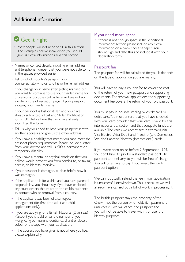### Additional information

# Get it right

- Most people will not need to fill in this section. The examples below show when you should give us extra information using this section.
- Names or contact details, including email address and telephone number that you were not able to fit in the spaces provided earlier.
- Tell us which country's passport your countersignatory holds, and his or her email address.
- If you change your name after getting married but you want to continue to use your maiden name for professional purposes tell us here and we will add a note on the observation page of your passport showing your maiden name.
- If your passport is lost or stolen and you have already submitted a Lost and Stolen Notification form LS01, tell us here that you have already submitted the form.
- Tell us why you need to have your passport sent to another address and give us the other address.
- If you have a disability that means you can't meet the passport photo requirements. Please include a letter from your doctor, and tell us if it's a permanent or temporary disability.
- If you have a mental or physical condition that you believe would prevent you from coming to, or taking part in, an identity interview.
- If your passport is damaged, explain briefly how it was damaged.
- If the application is for a child and you have parental responsibility, you should say if you have enclosed any court orders that relate to the child's residence in, contact with or removal from a country.
- If the applicant was born of a surrogacy arrangement (for first time adult and child applications only).
- If you are applying for a British National (Overseas) Passport you should enter the number of your Hong Kong permanent identity card and enclose a colour photocopy with your application.
- If the address you have given is not where you live, please explain why.

#### If you need more space

• If there is not enough space in the 'Additional information' section please include any extra information on a blank sheet of paper. You should sign and date this and include it with your declaration form.

### Passport fee

The passport fee will be calculated for you. It depends on the type of application you are making.

You will have to pay a courier fee to cover the cost of the return of your new passport and supporting documents. For renewal applications the supporting document fee covers the return of your old passport.

You must pay in pounds sterling by credit card or debit card. You must ensure that you have checked with your card provider that your card is valid for this international transaction and that adequate funds are available. The cards we accept are: Mastercard, Visa, Visa Electron, Visa Debit and Maestro (UK Domestic). We don't accept Maestro (International) cards.

If you were born on or before 2 September 1929, you don't have to pay for a standard passport. The passport and delivery to you will be free of charge. You will only have to pay if you select the jumbo passport option.

We cannot usually refund the fee if your application is unsuccessful or withdrawn. This is because we will already have carried out a lot of work in processing it.

The British passport stays the property of the Crown, not the person who holds it. If payment is unsuccessful we will cancel the passport and you will not be able to travel with it or use it for identity purposes.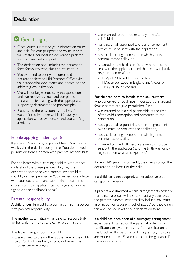### **Declaration**

# Get it right

- Once you've submitted your information online and paid for your passport, the online service will create a personalised declaration pack for you to download and print.
- The declaration pack includes the declaration form for you to read, sign and return to us.
- You will need to post your completed declaration form to HM Passport Office with your supporting documents and photos, to the address given in the pack.
- We will not begin processing the application until we receive a signed and completed declaration form along with the appropriate supporting documents and photographs.
- Please send these as soon as possible. If we don't receive them within 90 days, your application will be withdrawn and you won't get a refund.

### People applying under age 18

If you are 16 and over, or you will turn 16 within three weeks, sign the declaration yourself. You don't need permission from a person with parental responsibility.

For applicants with a learning disability who cannot understand the consequences of signing the declaration someone with parental responsibility should give their permission. You must enclose a letter with your declaration and supporting documents that explains why the applicant cannot sign and who has signed on the applicant's behalf.

### Parental responsibility

A child under 16 must have permission from a person with parental responsibility.

The mother automatically has parental responsibility for her child from birth, and can give permission.

The father can give permission if he:

• was married to the mother at the time of the child's birth (or, for those living in Scotland, when the mother became pregnant)

- was married to the mother at any time after the child's birth
- has a parental responsibility order or agreement (which must be sent with the application)
- has a child arrangements order which grants parental responsibility, or.
- is named on the birth certificate (which must be sent with the application), and the birth was jointly registered on or after:
	- 15 April 2002 in Northern Ireland
	- 1 December 2003 in England and Wales, or
	- 4 May 2006 in Scotland

#### For children born to female same-sex partners

who conceived through sperm donation, the second female parent can give permission if she:

- was married or in a civil partnership at the time of the child's conception and consented to the conception
- has a parental responsibility order or agreement (which must be sent with the application)
- has a child arrangements order which grants parental responsibility, or
- is named on the birth certificate (which must be sent with the application) and the birth was jointly registered on or after 6 April 2009

If the child's parent is under 16, they can also sign the declaration on behalf of the child.

If a child has been adopted, either adoptive parent can give permission.

If parents are divorced, a child arrangements order or maintenance order will not automatically take away the parent's parental responsibility. Include any extra information on a blank sheet of paper. You should sign this and include it with your declaration form.

If a child has been born of a surrogacy arrangement, either parent named on the parental order or birth certificate can give permission. If the application is made before the parental order is granted, the rules are more complex. Please contact us for guidance if this applies to you.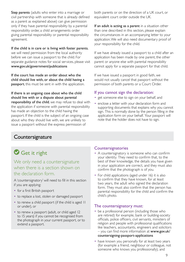Step parents (adults who enter into a marriage or civil partnership with someone that is already defined as a parent as explained above) can give permission only if they have parental responsibility by a parental responsibility order, a child arrangements order giving parental responsibility or parental responsibility agreement.

### If the child is in care or is living with foster parents,

we will need permission from the local authority before we can issue a passport to the child. For separate guidance notes for social services, please visit www.gov.uk/government/publications

If the court has made an order about who the child should live with, or about the child having a passport, this must be sent in with the application.

If there is an ongoing case about who the child should live with or a dispute about parental responsibility of the child, we may refuse to deal with the application if someone with parental responsibility has made an objection to the child having the passport. If the child is the subject of an ongoing case about who they should live with, we are unlikely to issue a passport without the express permission of

both parents or on the direction of a UK court, or equivalent court order outside the UK.

If an adult is acting as a parent in a situation other than one described in this section, please explain the circumstances in an accompanying letter to your application. We will also need documentary proof of your responsibility for the child.

If we have already issued a passport to a child after an application has been made by one parent, the other parent or anyone else with parental responsibility cannot apply for a separate passport for that child.

If we have issued a passport in good faith, we would not usually cancel that passport without the permission of both parents or a Court Order.

### If you cannot sign the declaration:

- get someone else to sign on your behalf, and
- enclose a letter with your declaration form and supporting documents that explains why you cannot sign. This is normally done by the person filling in the application form on your behalf. Your passport will note that the holder does not have to sign.

### **Countersignature**

# Get it right

### We only need a countersignature when there is a section shown on the declaration form.

A 'countersignatory' will need to fill in this section if you are applying:

- for a first British passport
- to replace a lost, stolen or damaged passport
- to renew a child passport (if the child is aged 11 or under), or
- to renew a passport (adult, or child aged 12 to 15 years) if you cannot be recognised from the photograph in your current passport, or to extend a passport.

### **Countersignatories**

- A countersignatory is someone who can confirm your identity. They need to confirm that, to the best of their knowledge, the details you have given in your application are correct, and they must also confirm that the photograph is of you.
- For child applications (aged under 16) it is also to confirm that they have known, for at least two years, the adult who signed the declaration form. They must also confirm that the person has parental responsibility for the child and confirm the child's photo.

### The countersignatory must:

- be a professional person (including those who are retired) for example, bank or building-society officials, police officers, civil servants, ministers of religion and people with professional qualifications like teachers, accountants, engineers and solicitors – you can find more information at www.gov.uk/ countersigning-passport-applications
- have known you personally for at least two years (for example a friend, neighbour or colleague, not someone who knows you professionally), and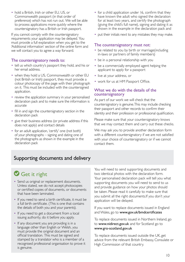• hold a British, Irish or other EU, US, or Commonwealth passport (in that order of preference) which has not run out. We will be able to process applications more quickly where the countersignatory has a British or Irish passport.

If you cannot comply with the countersignatory requirements your application may be delayed. You must provide a full explanation when you get to the 'Additional information' section of the online form and we will contact you to agree a way forward.

### The countersignatory needs to:

- tell us which country's passport they hold, and his or her email address.
- when they hold a US, Commonwealth or other EU (not British or Irish) passport, they must provide a colour photocopy of the page with their photograph on it. This must be included with the countersigned application.
- review the application summary in your personalised declaration pack and to make sure the information is accurate
- fill in and sign the countersignatory section in the declaration pack
- give their business address (or private address if this does not apply) and contact details
- for an adult application, 'certify' one (not both) of your photographs – signing and dating one of the photographs as shown in the example in the declaration pack
- for a child application under 16, confirm that they have known the adult who signed the declaration for at least two years, and certify the photograph (giving the child's full name), signing and dating it as shown in the example in the declaration pack and
- put their initials next to any mistakes they may make.

### The countersignatory must not:

- be related to you by birth or marriage(including in-laws or partners of family members)
- be in a personal relationship with you
- be a commercially employed agent helping the applicant to apply for a passport
- live at your address, or
- work for us at HM Passport Office.

### What we do with the details of the countersignatory

As part of our work we will check that the countersignatory is genuine. This may include checking their passport and other records to confirm their identity and their profession or professional qualification.

Please make sure that your countersignatory knows that we may contact them and carry out these checks.

We may ask you to provide another declaration form with a different countersignatory if we are not satisfied with your choice of countersignatory or if we cannot contact them.

### Supporting documents and delivery

# Get it right

- Send us original or replacement documents. Unless stated, we do not accept photocopies or certified copies of documents, or documents that have been laminated.
- If you need to send a birth certificate, it must be a full birth certificate. (This is one that contains the details of both you and your parents).
- If you need to get a document from a local issuing authority, do it before you apply.
- If any document you are providing is in a language other than English or Welsh, you must provide the original document and an official translation. This must be signed and stamped by a translator who is a member of a recognised professional organisation to prove it is genuine.

You will need to send supporting documents and two identical photos with the declaration form. Your personalised declaration pack will tell you what supporting documents you will need to send to us and provide guidance on how your photos should be taken. Please read it carefully to make sure that you submit all the right documents.If you don't your application will be delayed.

If you want to replace documents issued in England and Wales, go to [www.gov.uk/bmdcertificates](http://www.gov.uk/bmdcertificates)

To replace documents issued in Northern Ireland, go to www.nidirect.gov.uk and for Scotland go to www.gro-scotland.gov.uk

To replace documents issued outside the UK, get advice from the relevant British Embassy, Consulate or High Commission of that country.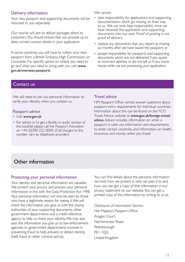### Delivery information

Your new passport and supporting documents will be returned to you separately.

Our courier will aim to deliver packages direct to customers. You should ensure that you provide up to date, correct contact details in your application.

In some countries you will have to collect your new passport from a British Embassy, High Commission, or Consulate. For specific advice on where you need to go and what you need to bring with you visit www. gov.uk/overseas-passports

#### We cannot:

- take responsibility for applications and supporting documentation which go missing on their way to us. We can only take responsibility once we have received the application and supporting documents into our care. Proof of posting is not proof of delivery.
- replace any documents that you report as missing six months after we have issued the passport; or
- accept responsibility for passports and supporting documents which are not delivered if you quote an incorrect address or do not tell us if you move house while we are processing your application.

### Contact us

We will need to ask you personal information to verify your identity when you contact us.

### Passport advice

- Visit www.gov.uk
- For advice or to get a Braille or audio version of this booklet please call the Passport Adviceline on +44 (0)300 222 0000. (Call charges to this number vary by telephone provider).

### Travel advice

HM Passport Office cannot answer questions about passport entry requirements for individual countries. Information about this can be found on the FCO Travel Advice website at www.gov.uk/foreign-traveladvice. Advice includes information on when a passport is valid, visa information and requirements to enter certain countries, and information on health, insurance, and money when you travel.

### Other information

### Protecting your personal information

Your identity and personal information are valuable. We protect your privacy and process your personal information in line with the Data Protection Act 1998. Your personal information will only be seen by those who have a legitimate reason for seeing it. We will check the information you give us with the issuing authorities of your supporting documents, other government departments and a credit-reference agency to help us check your identity. We may also pass the information you give us to law-enforcement agencies or government departments involved in preventing fraud to help prevent or detect identity theft, fraud or other criminal activity.

You can find details about the personal information we hold, how we protect it, who we pass it to and how you can get a copy of that information in our privacy statement on our website. You can get a printed copy of the information by writing to us at:

Disclosure of Information Section Her Majesty's Passport Office Aragon Court Northminster Road **Peterborough** PE1 1QG United Kingdom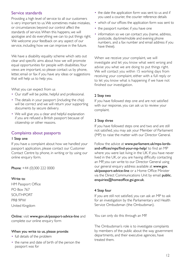### Service standards

Providing a high level of service to all our customers is very important to us. We sometimes make mistakes, or circumstances beyond our control affect the standards of service. When this happens, we will apologise and do everything we can to put things right. We welcome your feedback on any aspect of our service, including how we can improve in the future.

We have a disability equality scheme which sets out clear and specific aims about how we will promote equal opportunities for people with disabilities. Your views are important, so please contact us by phone, letter, email or fax if you have any ideas or suggestions that will help us to help you.

What you can expect from us

- Our staff will be polite, helpful and professional.
- The details in your passport (including the chip) will be correct and we will return your supporting documents by secure delivery.
- We will give you a clear and helpful explanation if you are refused a British passport because of citizenship or other reasons.

### Complaints about passports

### 1 Step one

If you have a complaint about how we handled your passport application, please contact our Customer Contact Centre by phone, in writing or by using our online enquiry form.

Phone: +44 (0)300 222 0000

### Write to:

HM Passport Office PO Box 767 SOUTHPORT PR8 9PW United Kingdom

Online: visit [www.gov.uk/passport-advice-line](http://www.gov.uk/passport-advice-line) and complete our online enquiry form

### When you write to us, please provide:

- full details of the problem
- the name and date of birth of the person the passport was for
- the date the application form was sent to us and if you used a courier, the courier reference details
- which of our offices the application form was sent to
- the passport number, if you have one
- information so we can contact you (name, address, postcode, daytime/mobile and evening phone numbers, and a fax number and email address if you have these).

When we receive your complaint, we will investigate and let you know what went wrong and advise you what we are doing to put things right. We will contact you within 15 working days from receiving your complaint, either with a full reply or to let you know what is happening if we have not finished our investigation.

### 2 Step two

If you have followed step one and are not satisfied with our response, you can ask us to review your complaint.

### 3 Step three

If you have followed steps one and two and are still not satisfied, you may ask your Member of Parliament (MP) to raise the matter with our Director General.

Follow the advice at [www.parliament.uk/mps-lords](http://www.parliament.uk/mps-lords-and-offices/mps/find-your-mp-help/)[and-offices/mps/find-your-mp-help/](http://www.parliament.uk/mps-lords-and-offices/mps/find-your-mp-help/) to find an MP where you were last living in the UK. If you have never lived in the UK, or you are having difficulty contacting an MP, you can write to our Director General using our general enquiry address available at [www.gov.](http://www.gov.uk/passport-advice-line) [uk/passport-advice-line](http://www.gov.uk/passport-advice-line) or a Home Office Minister via the Direct Communications Unit by email: [public.](mailto:public.enquiries%40homeoffice.gsi.gov.uk?subject=) [enquiries@homeoffice.gsi.gov.uk](mailto:public.enquiries%40homeoffice.gsi.gov.uk?subject=).

### 4 Step four

If you are still not satisfied, you can ask an MP to ask for an investigation by the Parliamentary and Health Service Ombudsman (the Ombudsman).

You can only do this through an MP.

The Ombudsman's role is to investigate complaints by members of the public about the way government departments, and their executive agencies, have treated them.